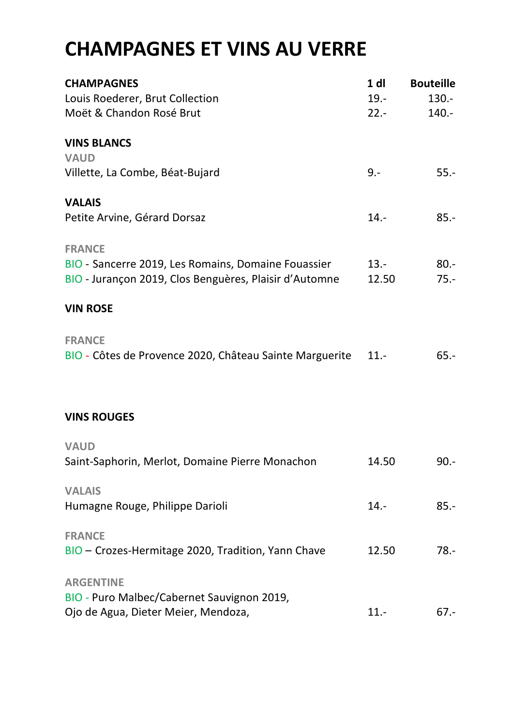# **CHAMPAGNES ET VINS AU VERRE**

| <b>CHAMPAGNES</b>                                       | 1 <sub>d</sub> | <b>Bouteille</b> |
|---------------------------------------------------------|----------------|------------------|
| Louis Roederer, Brut Collection                         | $19. -$        | 130.-            |
| Moët & Chandon Rosé Brut                                | $22 -$         | 140.-            |
| <b>VINS BLANCS</b>                                      |                |                  |
| <b>VAUD</b>                                             |                |                  |
| Villette, La Combe, Béat-Bujard                         | $9 -$          | $55. -$          |
| <b>VALAIS</b>                                           |                |                  |
| Petite Arvine, Gérard Dorsaz                            | $14. -$        | $85.-$           |
| <b>FRANCE</b>                                           |                |                  |
| BIO - Sancerre 2019, Les Romains, Domaine Fouassier     | $13. -$        | $80 -$           |
| BIO - Jurançon 2019, Clos Benguères, Plaisir d'Automne  | 12.50          | $75. -$          |
| <b>VIN ROSE</b>                                         |                |                  |
| <b>FRANCE</b>                                           |                |                  |
| BIO - Côtes de Provence 2020, Château Sainte Marguerite | $11. -$        | $65. -$          |
|                                                         |                |                  |
| <b>VINS ROUGES</b>                                      |                |                  |
| <b>VAUD</b>                                             |                |                  |
| Saint-Saphorin, Merlot, Domaine Pierre Monachon         | 14.50          | $90.-$           |
| <b>VALAIS</b>                                           |                |                  |
| Humagne Rouge, Philippe Darioli                         | $14. -$        | $85.-$           |
| <b>FRANCE</b>                                           |                |                  |
| BIO - Crozes-Hermitage 2020, Tradition, Yann Chave      | 12.50          | $78. -$          |
| <b>ARGENTINE</b>                                        |                |                  |
| BIO - Puro Malbec/Cabernet Sauvignon 2019,              |                |                  |
| Ojo de Agua, Dieter Meier, Mendoza,                     | $11.-$         | 67.-             |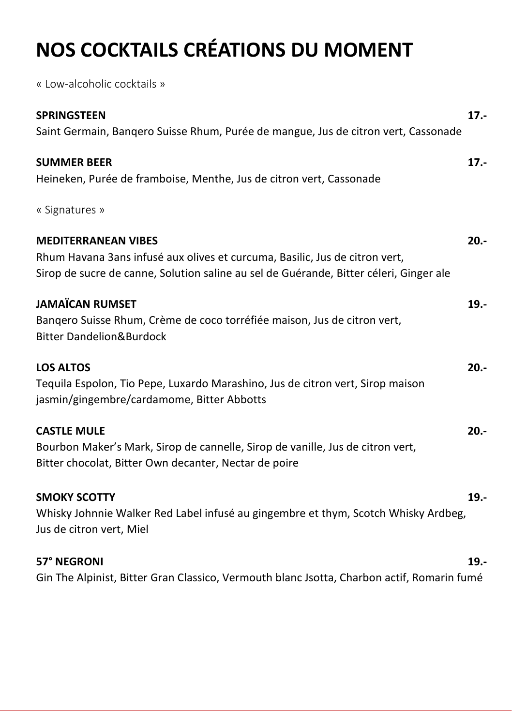# **NOS COCKTAILS CRÉATIONS DU MOMENT**

« Low-alcoholic cocktails »

| <b>SPRINGSTEEN</b>                                                                         | $17. -$ |
|--------------------------------------------------------------------------------------------|---------|
| Saint Germain, Banqero Suisse Rhum, Purée de mangue, Jus de citron vert, Cassonade         |         |
| <b>SUMMER BEER</b>                                                                         | $17. -$ |
| Heineken, Purée de framboise, Menthe, Jus de citron vert, Cassonade                        |         |
| « Signatures »                                                                             |         |
| <b>MEDITERRANEAN VIBES</b>                                                                 | $20 -$  |
| Rhum Havana 3ans infusé aux olives et curcuma, Basilic, Jus de citron vert,                |         |
| Sirop de sucre de canne, Solution saline au sel de Guérande, Bitter céleri, Ginger ale     |         |
| <b>JAMAÏCAN RUMSET</b>                                                                     | $19. -$ |
| Bangero Suisse Rhum, Crème de coco torréfiée maison, Jus de citron vert,                   |         |
| <b>Bitter Dandelion&amp;Burdock</b>                                                        |         |
| <b>LOS ALTOS</b>                                                                           | $20. -$ |
| Tequila Espolon, Tio Pepe, Luxardo Marashino, Jus de citron vert, Sirop maison             |         |
| jasmin/gingembre/cardamome, Bitter Abbotts                                                 |         |
| <b>CASTLE MULE</b>                                                                         | $20. -$ |
| Bourbon Maker's Mark, Sirop de cannelle, Sirop de vanille, Jus de citron vert,             |         |
| Bitter chocolat, Bitter Own decanter, Nectar de poire                                      |         |
| <b>SMOKY SCOTTY</b>                                                                        | $19. -$ |
| Whisky Johnnie Walker Red Label infusé au gingembre et thym, Scotch Whisky Ardbeg,         |         |
| Jus de citron vert, Miel                                                                   |         |
| 57° NEGRONI                                                                                | $19. -$ |
| Gin The Alpinist, Bitter Gran Classico, Vermouth blanc Jsotta, Charbon actif, Romarin fumé |         |
|                                                                                            |         |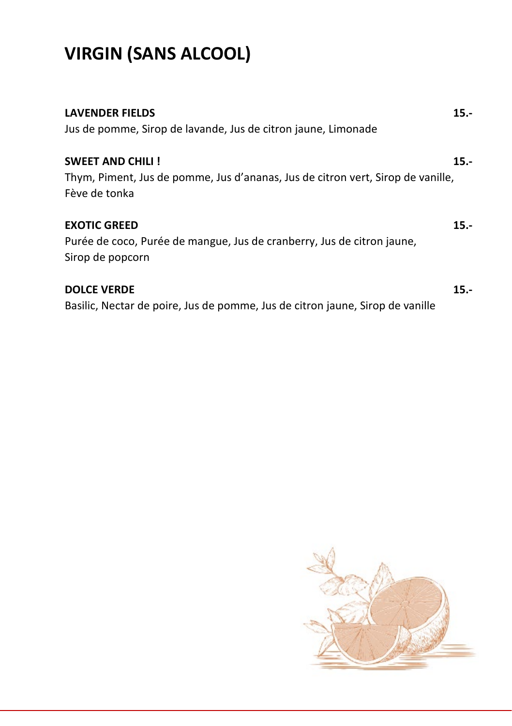# **VIRGIN (SANS ALCOOL)**

| <b>LAVENDER FIELDS</b>                                                          | $15. -$ |
|---------------------------------------------------------------------------------|---------|
| Jus de pomme, Sirop de lavande, Jus de citron jaune, Limonade                   |         |
| <b>SWEET AND CHILI !</b>                                                        | $15. -$ |
| Thym, Piment, Jus de pomme, Jus d'ananas, Jus de citron vert, Sirop de vanille, |         |
| Fève de tonka                                                                   |         |
| <b>EXOTIC GREED</b>                                                             | 15.-    |
| Purée de coco, Purée de mangue, Jus de cranberry, Jus de citron jaune,          |         |
| Sirop de popcorn                                                                |         |
| <b>DOLCE VERDE</b>                                                              | 15.-    |
| Basilic, Nectar de poire, Jus de pomme, Jus de citron jaune, Sirop de vanille   |         |

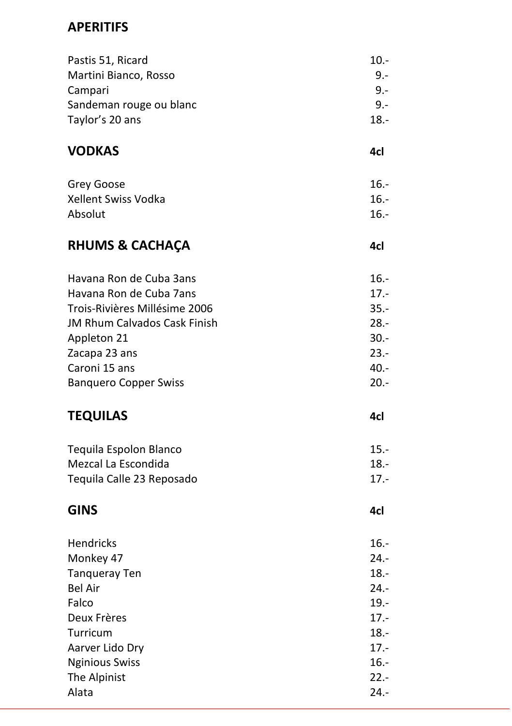#### **APERITIFS**

| Pastis 51, Ricard             | $10. -$ |
|-------------------------------|---------|
| Martini Bianco, Rosso         | 9.-     |
| Campari                       | 9.-     |
| Sandeman rouge ou blanc       | 9.-     |
| Taylor's 20 ans               | $18. -$ |
| VODKAS                        | 4cl     |
| Grey Goose                    | $16. -$ |
| Xellent Swiss Vodka           | $16. -$ |
| Absolut                       | $16. -$ |
| <b>RHUMS &amp; CACHAÇA</b>    | 4cl     |
| Havana Ron de Cuba 3ans       | $16. -$ |
| Havana Ron de Cuba 7ans       | $17. -$ |
| Trois-Rivières Millésime 2006 | $35. -$ |
| JM Rhum Calvados Cask Finish  | $28. -$ |
| Appleton 21                   | $30 -$  |
| Zacapa 23 ans                 | $23. -$ |
| Caroni 15 ans                 | $40. -$ |
| <b>Banquero Copper Swiss</b>  | 20.-    |
| <b>TEQUILAS</b>               | 4cl     |
| Tequila Espolon Blanco        | $15. -$ |
| Mezcal La Escondida           | $18. -$ |
| Tequila Calle 23 Reposado     | $17. -$ |
| <b>GINS</b>                   | 4cl     |
| Hendricks                     | $16. -$ |
| Monkey 47                     | $24. -$ |
| Tanqueray Ten                 | $18. -$ |
| Bel Air                       | 24.-    |
| Falco                         | $19. -$ |
| Deux Frères                   | $17. -$ |
| Turricum                      | $18. -$ |
| Aarver Lido Dry               | $17. -$ |
| <b>Nginious Swiss</b>         | $16. -$ |
| The Alpinist                  | $22 -$  |
| Alata                         | $24. -$ |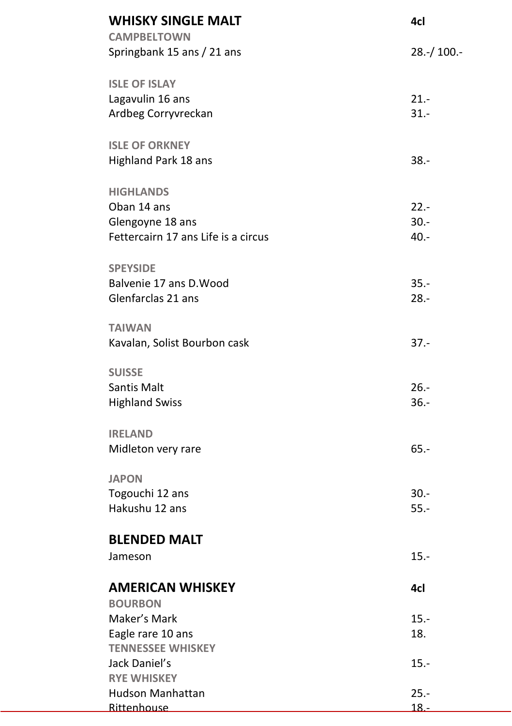| <b>WHISKY SINGLE MALT</b><br><b>CAMPBELTOWN</b> | 4cl          |
|-------------------------------------------------|--------------|
| Springbank 15 ans / 21 ans                      | $28.-/100.-$ |
| <b>ISLE OF ISLAY</b>                            |              |
| Lagavulin 16 ans                                | $21. -$      |
| Ardbeg Corryvreckan                             | $31 -$       |
| <b>ISLE OF ORKNEY</b>                           |              |
| Highland Park 18 ans                            | $38. -$      |
| <b>HIGHLANDS</b>                                |              |
| Oban 14 ans                                     | $22 -$       |
| Glengoyne 18 ans                                | $30 -$       |
| Fettercairn 17 ans Life is a circus             | $40. -$      |
| <b>SPEYSIDE</b>                                 |              |
| Balvenie 17 ans D. Wood                         | $35. -$      |
| Glenfarclas 21 ans                              | $28. -$      |
| <b>TAIWAN</b>                                   |              |
| Kavalan, Solist Bourbon cask                    | $37 -$       |
| <b>SUISSE</b>                                   |              |
| Santis Malt                                     | $26. -$      |
| <b>Highland Swiss</b>                           | $36. -$      |
| <b>IRELAND</b>                                  |              |
| Midleton very rare                              | $65. -$      |
| <b>JAPON</b>                                    |              |
| Togouchi 12 ans                                 | $30 -$       |
| Hakushu 12 ans                                  | $55. -$      |
| <b>BLENDED MALT</b>                             |              |
| Jameson                                         | 15.          |
| <b>AMERICAN WHISKEY</b>                         | 4cl          |
| <b>BOURBON</b>                                  |              |
| Maker's Mark                                    | $15. -$      |
| Eagle rare 10 ans                               | 18.          |
| <b>TENNESSEE WHISKEY</b>                        |              |
| Jack Daniel's                                   | $15. -$      |
| <b>RYE WHISKEY</b>                              |              |
| <b>Hudson Manhattan</b>                         | $25 -$       |
| Rittenhouse                                     | $18 -$       |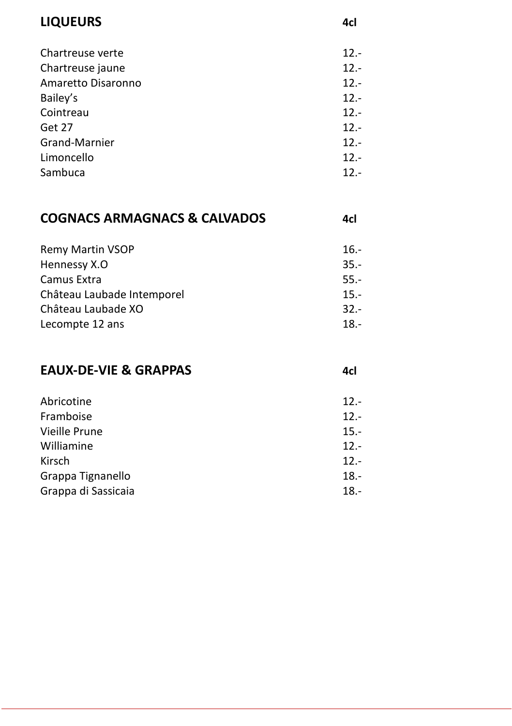#### **LIQUEURS 4cl**

| Chartreuse verte   | $12 -$ |
|--------------------|--------|
| Chartreuse jaune   | $12 -$ |
| Amaretto Disaronno | $12 -$ |
| Bailey's           | $12 -$ |
| Cointreau          | $12 -$ |
| Get 27             | $12 -$ |
| Grand-Marnier      | $12 -$ |
| Limoncello         | $12 -$ |
| Sambuca            | $12 -$ |
|                    |        |

#### **COGNACS ARMAGNACS & CALVADOS 4cl**

| <b>Remy Martin VSOP</b>    | $16.-$ |
|----------------------------|--------|
| Hennessy X.O               | $35 -$ |
| Camus Extra                | $55 -$ |
| Château Laubade Intemporel | $15 -$ |
| Château Laubade XO         | $32 -$ |
| Lecompte 12 ans            | $18 -$ |

#### **EAUX-DE-VIE & GRAPPAS 4cl**

| Abricotine          | $12 -$  |
|---------------------|---------|
| Framboise           | $12 -$  |
| Vieille Prune       | $15.-$  |
| Williamine          | $12 -$  |
| Kirsch              | $12 -$  |
| Grappa Tignanello   | $18 -$  |
| Grappa di Sassicaia | $18. -$ |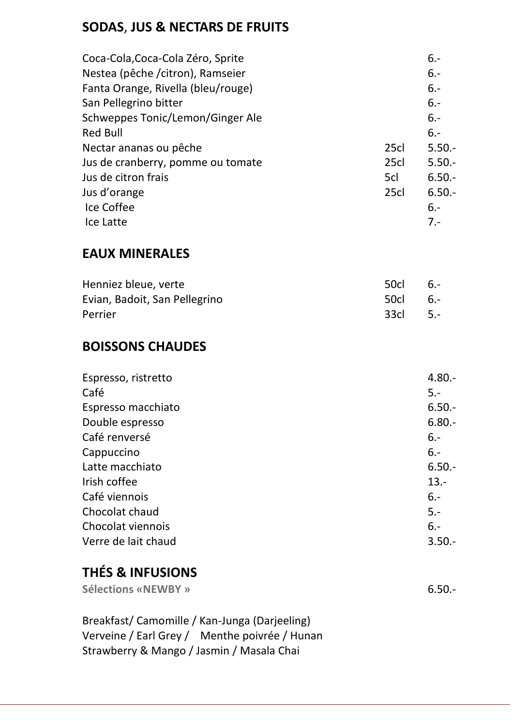### **SODAS**, **JUS & NECTARS DE FRUITS**

| Coca-Cola, Coca-Cola Zéro, Sprite  |      | $6 -$     |
|------------------------------------|------|-----------|
| Nestea (pêche /citron), Ramseier   |      | $6 -$     |
| Fanta Orange, Rivella (bleu/rouge) |      | $6 -$     |
| San Pellegrino bitter              |      | $6 -$     |
| Schweppes Tonic/Lemon/Ginger Ale   |      | $6 -$     |
| Red Bull                           |      | $6 -$     |
| Nectar ananas ou pêche             | 25cl | $5.50 -$  |
| Jus de cranberry, pomme ou tomate  | 25cl | $5.50 -$  |
| Jus de citron frais                | 5cl  | $6.50 -$  |
| Jus d'orange                       | 25cl | $6.50. -$ |
| Ice Coffee                         |      | $6. -$    |
| Ice Latte                          |      | $7 -$     |

#### **EAUX MINERALES**

| Henniez bleue, verte          | 50cl 6.- |  |
|-------------------------------|----------|--|
| Evian, Badoit, San Pellegrino | 50cl 6.- |  |
| Perrier                       | 33cl 5.- |  |

#### **BOISSONS CHAUDES**

| Espresso, ristretto | $4.80 -$ |
|---------------------|----------|
| Café                | $5 -$    |
| Espresso macchiato  | $6.50 -$ |
| Double espresso     | $6.80 -$ |
| Café renversé       | $6 -$    |
| Cappuccino          | $6 -$    |
| Latte macchiato     | $6.50 -$ |
| Irish coffee        | $13. -$  |
| Café viennois       | $6 -$    |
| Chocolat chaud      | $5 -$    |
| Chocolat viennois   | $6 -$    |
| Verre de lait chaud | $3.50 -$ |

# **THÉS & INFUSIONS**

| Sélections «NEWBY »                                                                                                                        | $6.50 -$ |
|--------------------------------------------------------------------------------------------------------------------------------------------|----------|
| Breakfast/Camomille / Kan-Junga (Darjeeling)<br>Verveine / Earl Grey / Menthe poivrée / Hunan<br>Strawberry & Mango / Jasmin / Masala Chai |          |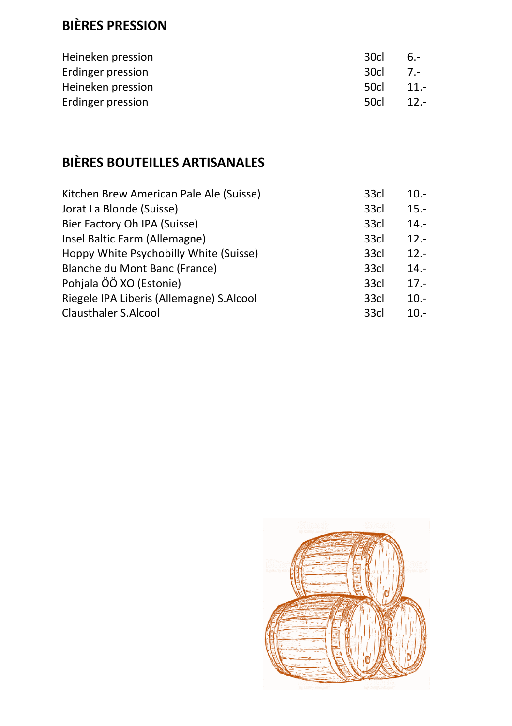## **BIÈRES PRESSION**

| Heineken pression | 30cl  | $6. -$ |
|-------------------|-------|--------|
| Erdinger pression | -30cl | $7 -$  |
| Heineken pression | 50cl  | $11 -$ |
| Erdinger pression | 50cl  | $12 -$ |

## **BIÈRES BOUTEILLES ARTISANALES**

| Kitchen Brew American Pale Ale (Suisse)  | 33cl | $10.-$  |
|------------------------------------------|------|---------|
| Jorat La Blonde (Suisse)                 | 33cl | $15. -$ |
| Bier Factory Oh IPA (Suisse)             | 33cl | $14. -$ |
| Insel Baltic Farm (Allemagne)            | 33cl | $12 -$  |
| Hoppy White Psychobilly White (Suisse)   | 33cl | $12 -$  |
| Blanche du Mont Banc (France)            | 33cl | $14. -$ |
| Pohjala ÖÖ XO (Estonie)                  | 33cl | $17 -$  |
| Riegele IPA Liberis (Allemagne) S.Alcool | 33cl | $10.-$  |
| Clausthaler S.Alcool                     | 33cl | $10.-$  |
|                                          |      |         |

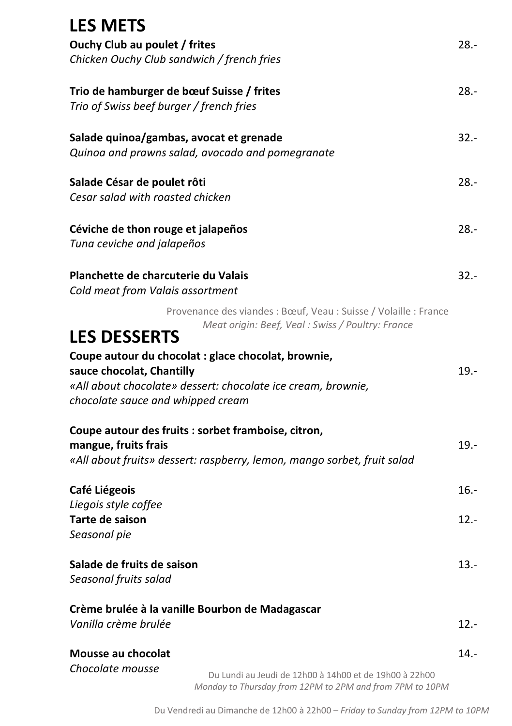| <b>LES METS</b>                                                                                                       |         |
|-----------------------------------------------------------------------------------------------------------------------|---------|
| Ouchy Club au poulet / frites                                                                                         | 28.-    |
| Chicken Ouchy Club sandwich / french fries                                                                            |         |
| Trio de hamburger de bœuf Suisse / frites                                                                             | $28.-$  |
| Trio of Swiss beef burger / french fries                                                                              |         |
| Salade quinoa/gambas, avocat et grenade                                                                               | $32 -$  |
| Quinoa and prawns salad, avocado and pomegranate                                                                      |         |
| Salade César de poulet rôti                                                                                           | $28 -$  |
| Cesar salad with roasted chicken                                                                                      |         |
| Céviche de thon rouge et jalapeños                                                                                    | $28. -$ |
| Tuna ceviche and jalapeños                                                                                            |         |
| Planchette de charcuterie du Valais                                                                                   | $32 -$  |
| Cold meat from Valais assortment                                                                                      |         |
| Provenance des viandes : Bœuf, Veau : Suisse / Volaille : France<br>Meat origin: Beef, Veal : Swiss / Poultry: France |         |
| <b>LES DESSERTS</b>                                                                                                   |         |
| Coupe autour du chocolat : glace chocolat, brownie,<br>sauce chocolat, Chantilly                                      | $19. -$ |
| «All about chocolate» dessert: chocolate ice cream, brownie,                                                          |         |
| chocolate sauce and whipped cream                                                                                     |         |
| Coupe autour des fruits : sorbet framboise, citron,                                                                   |         |
| mangue, fruits frais                                                                                                  | $19. -$ |
| «All about fruits» dessert: raspberry, lemon, mango sorbet, fruit salad                                               |         |
| Café Liégeois                                                                                                         | 16.-    |
| Liegois style coffee<br>Tarte de saison                                                                               | $12 -$  |
| Seasonal pie                                                                                                          |         |
| Salade de fruits de saison                                                                                            | $13.-$  |
| Seasonal fruits salad                                                                                                 |         |
| Crème brulée à la vanille Bourbon de Madagascar                                                                       |         |
| Vanilla crème brulée                                                                                                  | 12.-    |
| Mousse au chocolat                                                                                                    | $14 -$  |
| Chocolate mousse<br>Du Lundi au Jeudi de 12h00 à 14h00 et de 19h00 à 22h00                                            |         |
| Monday to Thursday from 12PM to 2PM and from 7PM to 10PM                                                              |         |